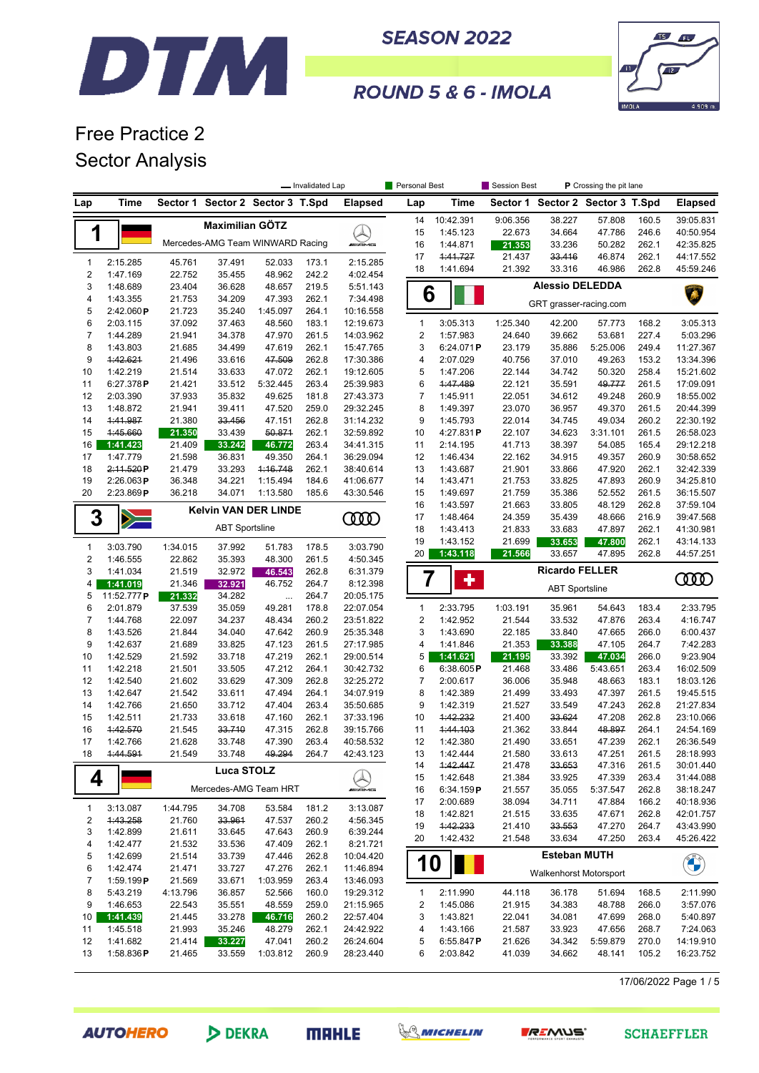



ROUND 5 & 6 - IMOLA

# Free Practice 2 Sector Analysis

|                |                       |                  |                                  |                         | - Invalidated Lap |                        | Personal Best       |                      |                  | Session Best<br>P Crossing the pit lane |                  |                |                        |
|----------------|-----------------------|------------------|----------------------------------|-------------------------|-------------------|------------------------|---------------------|----------------------|------------------|-----------------------------------------|------------------|----------------|------------------------|
| Lap            | Time                  | Sector 1         |                                  | Sector 2 Sector 3 T.Spd |                   | <b>Elapsed</b>         | Lap                 | Time                 |                  | Sector 1 Sector 2 Sector 3 T.Spd        |                  |                | <b>Elapsed</b>         |
|                |                       |                  | <b>Maximilian GÖTZ</b>           |                         |                   |                        | 14                  | 10:42.391            | 9:06.356         | 38.227                                  | 57.808           | 160.5          | 39:05.831              |
| 1              |                       |                  |                                  |                         |                   | ┻                      | 15                  | 1:45.123             | 22.673           | 34.664                                  | 47.786           | 246.6          | 40:50.954              |
|                |                       |                  | Mercedes-AMG Team WINWARD Racing |                         |                   | <b><i>INNE</i></b>     | 16                  | 1:44.871             | 21.353           | 33.236                                  | 50.282           | 262.1          | 42:35.825              |
| $\mathbf{1}$   | 2:15.285              | 45.761           | 37.491                           | 52.033                  | 173.1             | 2:15.285               | 17                  | 1:41.727             | 21.437           | 33.416                                  | 46.874           | 262.1          | 44:17.552              |
| $\sqrt{2}$     | 1:47.169              | 22.752           | 35.455                           | 48.962                  | 242.2             | 4:02.454               | 18                  | 1:41.694             | 21.392           | 33.316                                  | 46.986           | 262.8          | 45:59.246              |
| 3              | 1:48.689              | 23.404           | 36.628                           | 48.657                  | 219.5             | 5:51.143               |                     |                      |                  | <b>Alessio DELEDDA</b>                  |                  |                |                        |
| 4              | 1:43.355              | 21.753           | 34.209                           | 47.393                  | 262.1             | 7:34.498               |                     | 6                    |                  | GRT grasser-racing.com                  |                  |                |                        |
| 5              | 2:42.060P             | 21.723           | 35.240                           | 1:45.097                | 264.1             | 10:16.558              |                     |                      |                  |                                         |                  |                |                        |
| 6              | 2:03.115              | 37.092           | 37.463                           | 48.560                  | 183.1             | 12:19.673              | $\mathbf{1}$        | 3:05.313             | 1:25.340         | 42.200                                  | 57.773           | 168.2          | 3:05.313               |
| $\overline{7}$ | 1:44.289              | 21.941           | 34.378                           | 47.970                  | 261.5             | 14:03.962              | 2                   | 1:57.983             | 24.640           | 39.662                                  | 53.681           | 227.4          | 5:03.296               |
| 8              | 1:43.803              | 21.685           | 34.499                           | 47.619                  | 262.1             | 15:47.765              | 3                   | 6:24.071P            | 23.179           | 35.886                                  | 5:25.006         | 249.4          | 11:27.367              |
| 9              | 1:42.621              | 21.496           | 33.616                           | 47.509                  | 262.8             | 17:30.386              | 4                   | 2:07.029             | 40.756           | 37.010                                  | 49.263           | 153.2          | 13:34.396              |
| 10             | 1:42.219              | 21.514           | 33.633                           | 47.072                  | 262.1             | 19:12.605              | 5                   | 1:47.206             | 22.144           | 34.742                                  | 50.320           | 258.4          | 15:21.602              |
| 11<br>12       | 6:27.378P<br>2:03.390 | 21.421<br>37.933 | 33.512<br>35.832                 | 5:32.445<br>49.625      | 263.4<br>181.8    | 25:39.983<br>27:43.373 | 6<br>$\overline{7}$ | 1:47.489<br>1:45.911 | 22.121<br>22.051 | 35.591<br>34.612                        | 49.777<br>49.248 | 261.5<br>260.9 | 17:09.091<br>18:55.002 |
| 13             | 1:48.872              | 21.941           | 39.411                           | 47.520                  | 259.0             | 29:32.245              | 8                   | 1:49.397             | 23.070           | 36.957                                  | 49.370           | 261.5          | 20:44.399              |
| 14             | 4:41.987              | 21.380           | 33.456                           | 47.151                  | 262.8             | 31:14.232              | 9                   | 1:45.793             | 22.014           | 34.745                                  | 49.034           | 260.2          | 22:30.192              |
| 15             | 4:45.660              | 21.350           | 33.439                           | 50.871                  | 262.1             | 32:59.892              | 10                  | 4:27.831P            | 22.107           | 34.623                                  | 3:31.101         | 261.5          | 26:58.023              |
| 16             | 1:41.423              | 21.409           | 33.242                           | 46.772                  | 263.4             | 34:41.315              | 11                  | 2:14.195             | 41.713           | 38.397                                  | 54.085           | 165.4          | 29:12.218              |
| 17             | 1:47.779              | 21.598           | 36.831                           | 49.350                  | 264.1             | 36:29.094              | 12                  | 1:46.434             | 22.162           | 34.915                                  | 49.357           | 260.9          | 30:58.652              |
| 18             | 2:11.520P             | 21.479           | 33.293                           | 1:16.748                | 262.1             | 38:40.614              | 13                  | 1:43.687             | 21.901           | 33.866                                  | 47.920           | 262.1          | 32:42.339              |
| 19             | 2:26.063P             | 36.348           | 34.221                           | 1:15.494                | 184.6             | 41:06.677              | 14                  | 1:43.471             | 21.753           | 33.825                                  | 47.893           | 260.9          | 34:25.810              |
| 20             | 2:23.869P             | 36.218           | 34.071                           | 1:13.580                | 185.6             | 43:30.546              | 15                  | 1:49.697             | 21.759           | 35.386                                  | 52.552           | 261.5          | 36:15.507              |
|                |                       |                  | <b>Kelvin VAN DER LINDE</b>      |                         |                   |                        | 16                  | 1:43.597             | 21.663           | 33.805                                  | 48.129           | 262.8          | 37:59.104              |
| 3              |                       |                  |                                  |                         |                   | <b>COO</b>             | 17                  | 1:48.464             | 24.359           | 35.439                                  | 48.666           | 216.9          | 39:47.568              |
|                |                       |                  | <b>ABT Sportsline</b>            |                         |                   |                        | 18                  | 1:43.413             | 21.833           | 33.683                                  | 47.897           | 262.1          | 41:30.981              |
| $\mathbf{1}$   | 3:03.790              | 1:34.015         | 37.992                           | 51.783                  | 178.5             | 3:03.790               | 19                  | 1:43.152             | 21.699           | 33.653                                  | 47.800           | 262.1          | 43:14.133              |
| $\sqrt{2}$     | 1:46.555              | 22.862           | 35.393                           | 48.300                  | 261.5             | 4:50.345               | 20                  | 1:43.118             | 21.566           | 33.657                                  | 47.895           | 262.8          | 44:57.251              |
| 3              | 1:41.034              | 21.519           | 32.972                           | 46.543                  | 262.8             | 6:31.379               |                     |                      |                  | <b>Ricardo FELLER</b>                   |                  |                |                        |
| 4              | 1:41.019              | 21.346           | 32.921                           | 46.752                  | 264.7             | 8:12.398               |                     | 7<br>÷               |                  | <b>ABT Sportsline</b>                   |                  |                | 0000                   |
| 5              | 11:52.777P            | 21.332           | 34.282                           |                         | 264.7             | 20:05.175              |                     |                      |                  |                                         |                  |                |                        |
| 6              | 2:01.879              | 37.539           | 35.059                           | 49.281                  | 178.8             | 22:07.054              | $\mathbf{1}$        | 2:33.795             | 1:03.191         | 35.961                                  | 54.643           | 183.4          | 2:33.795               |
| 7              | 1:44.768              | 22.097           | 34.237                           | 48.434                  | 260.2             | 23:51.822              | $\overline{2}$      | 1:42.952             | 21.544           | 33.532                                  | 47.876           | 263.4          | 4:16.747               |
| 8              | 1:43.526              | 21.844           | 34.040                           | 47.642                  | 260.9             | 25:35.348              | 3                   | 1:43.690             | 22.185           | 33.840                                  | 47.665           | 266.0          | 6:00.437               |
| 9              | 1:42.637              | 21.689           | 33.825                           | 47.123                  | 261.5             | 27:17.985              | 4                   | 1:41.846             | 21.353           | 33.388                                  | 47.105           | 264.7          | 7:42.283               |
| 10             | 1:42.529              | 21.592           | 33.718                           | 47.219                  | 262.1             | 29:00.514              | 5                   | 1:41.621             | 21.195           | 33.392                                  | 47.034           | 266.0          | 9:23.904               |
| 11             | 1:42.218              | 21.501           | 33.505                           | 47.212                  | 264.1             | 30:42.732              | 6                   | 6:38.605P            | 21.468           | 33.486                                  | 5:43.651         | 263.4          | 16:02.509              |
| 12             | 1:42.540              | 21.602           | 33.629                           | 47.309                  | 262.8             | 32:25.272              | 7                   | 2:00.617             | 36.006           | 35.948                                  | 48.663           | 183.1          | 18:03.126              |
| 13<br>14       | 1:42.647              | 21.542           | 33.611                           | 47.494<br>47.404        | 264.1             | 34:07.919              | 8<br>9              | 1:42.389             | 21.499           | 33.493                                  | 47.397           | 261.5          | 19:45.515              |
| 15             | 1:42.766<br>1:42.511  | 21.650<br>21.733 | 33.712<br>33.618                 | 47.160                  | 263.4<br>262.1    | 35:50.685<br>37:33.196 | 10                  | 1:42.319<br>1:42.232 | 21.527<br>21.400 | 33.549<br>33.624                        | 47.243<br>47.208 | 262.8<br>262.8 | 21:27.834<br>23:10.066 |
| 16             | 1:42.570              | 21.545           | 33.710                           | 47.315                  | 262.8             | 39:15.766              | 11                  | 1:44.103             | 21.362           | 33.844                                  | 48.897           | 264.1          | 24:54.169              |
| 17             | 1:42.766              | 21.628           | 33.748                           | 47.390                  | 263.4             | 40:58.532              | 12                  | 1:42.380             | 21.490           | 33.651                                  | 47.239           | 262.1          | 26:36.549              |
| 18             | 1:44.591              | 21.549           | 33.748                           | 49.294                  | 264.7             | 42:43.123              | 13                  | 1:42.444             | 21.580           | 33.613                                  | 47.251           | 261.5          | 28:18.993              |
|                |                       |                  |                                  |                         |                   |                        | 14                  | 1:42.447             | 21.478           | 33.653                                  | 47.316           | 261.5          | 30:01.440              |
| 4              |                       |                  | Luca STOLZ                       |                         |                   |                        | 15                  | 1:42.648             | 21.384           | 33.925                                  | 47.339           | 263.4          | 31:44.088              |
|                |                       |                  | Mercedes-AMG Team HRT            |                         |                   | <i><b>INNENES</b></i>  | 16                  | 6:34.159P            | 21.557           | 35.055                                  | 5:37.547         | 262.8          | 38:18.247              |
|                |                       |                  |                                  |                         |                   |                        | 17                  | 2:00.689             | 38.094           | 34.711                                  | 47.884           | 166.2          | 40:18.936              |
| $\mathbf{1}$   | 3:13.087              | 1:44.795         | 34.708                           | 53.584                  | 181.2             | 3:13.087               | 18                  | 1:42.821             | 21.515           | 33.635                                  | 47.671           | 262.8          | 42:01.757              |
| 2              | 4:43.258              | 21.760           | 33.961                           | 47.537                  | 260.2             | 4:56.345               | 19                  | 1:42.233             | 21.410           | 33.553                                  | 47.270           | 264.7          | 43:43.990              |
| 3              | 1:42.899              | 21.611           | 33.645                           | 47.643                  | 260.9             | 6:39.244               | 20                  | 1:42.432             | 21.548           | 33.634                                  | 47.250           | 263.4          | 45:26.422              |
| 4              | 1:42.477              | 21.532           | 33.536                           | 47.409                  | 262.1             | 8:21.721               |                     |                      |                  | <b>Esteban MUTH</b>                     |                  |                |                        |
| 5<br>6         | 1:42.699<br>1:42.474  | 21.514<br>21.471 | 33.739<br>33.727                 | 47.446<br>47.276        | 262.8<br>262.1    | 10:04.420<br>11:46.894 |                     | 10                   |                  |                                         |                  |                | <b>CALCS</b>           |
| 7              | 1:59.199P             | 21.569           | 33.671                           | 1:03.959                | 263.4             | 13:46.093              |                     |                      |                  | Walkenhorst Motorsport                  |                  |                |                        |
| 8              | 5:43.219              | 4:13.796         | 36.857                           | 52.566                  | 160.0             | 19:29.312              | 1                   | 2:11.990             | 44.118           | 36.178                                  | 51.694           | 168.5          | 2:11.990               |
| 9              | 1:46.653              | 22.543           | 35.551                           | 48.559                  | 259.0             | 21:15.965              | 2                   | 1:45.086             | 21.915           | 34.383                                  | 48.788           | 266.0          | 3:57.076               |
| 10             | 1:41.439              | 21.445           | 33.278                           | 46.716                  | 260.2             | 22:57.404              | 3                   | 1:43.821             | 22.041           | 34.081                                  | 47.699           | 268.0          | 5:40.897               |
| 11             | 1:45.518              | 21.993           | 35.246                           | 48.279                  | 262.1             | 24:42.922              | 4                   | 1:43.166             | 21.587           | 33.923                                  | 47.656           | 268.7          | 7:24.063               |
| 12             | 1:41.682              | 21.414           | 33.227                           | 47.041                  | 260.2             | 26:24.604              | 5                   | 6:55.847P            | 21.626           | 34.342                                  | 5:59.879         | 270.0          | 14:19.910              |
| 13             | 1:58.836P             | 21.465           | 33.559                           | 1:03.812                | 260.9             | 28:23.440              | 6                   | 2:03.842             | 41.039           | 34.662                                  | 48.141           | 105.2          | 16:23.752              |
|                |                       |                  |                                  |                         |                   |                        |                     |                      |                  |                                         |                  |                |                        |

17/06/2022 Page 1 / 5







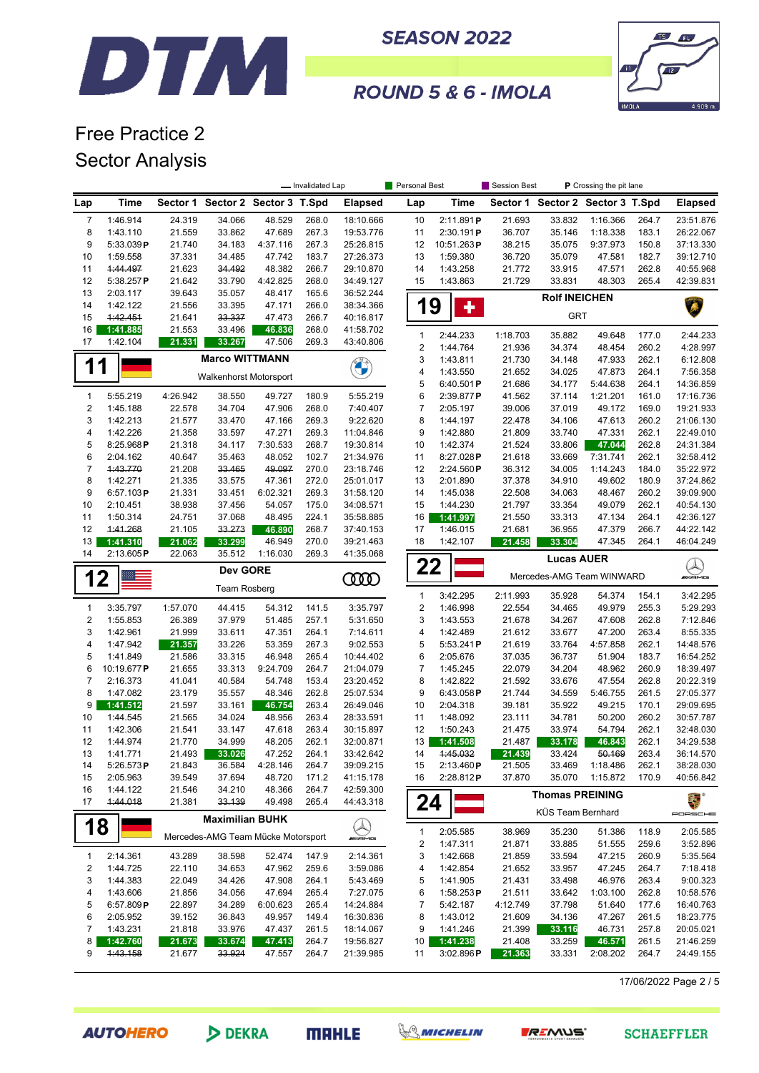



ROUND 5 & 6 - IMOLA

### Free Practice 2 Sector Analysis

|                |                           |                    |                                    |                  | - Invalidated Lap |                   | Personal Best                |                      | Session Best              | P Crossing the pit lane |                                  |                |                      |
|----------------|---------------------------|--------------------|------------------------------------|------------------|-------------------|-------------------|------------------------------|----------------------|---------------------------|-------------------------|----------------------------------|----------------|----------------------|
| Lap            | Time                      |                    | Sector 1 Sector 2 Sector 3 T.Spd   |                  |                   | <b>Elapsed</b>    | Lap                          | Time                 |                           |                         | Sector 1 Sector 2 Sector 3 T.Spd |                | <b>Elapsed</b>       |
| $\overline{7}$ | 1:46.914                  | 24.319             | 34.066                             | 48.529           | 268.0             | 18:10.666         | 10                           | 2:11.891P            | 21.693                    | 33.832                  | 1:16.366                         | 264.7          | 23:51.876            |
| 8              | 1:43.110                  | 21.559             | 33.862                             | 47.689           | 267.3             | 19:53.776         | 11                           | 2:30.191P            | 36.707                    | 35.146                  | 1:18.338                         | 183.1          | 26:22.067            |
| 9              | 5:33.039P                 | 21.740             | 34.183                             | 4:37.116         | 267.3             | 25:26.815         | 12                           | 10:51.263P           | 38.215                    | 35.075                  | 9:37.973                         | 150.8          | 37:13.330            |
| 10             | 1:59.558                  | 37.331             | 34.485                             | 47.742           | 183.7             | 27:26.373         | 13                           | 1:59.380             | 36.720                    | 35.079                  | 47.581                           | 182.7          | 39:12.710            |
| 11             | 1:44.497                  | 21.623             | 34.492                             | 48.382           | 266.7             | 29:10.870         | 14                           | 1:43.258             | 21.772                    | 33.915                  | 47.571                           | 262.8          | 40:55.968            |
| 12             | 5:38.257P                 | 21.642             | 33.790                             | 4:42.825         | 268.0             | 34:49.127         | 15                           | 1:43.863             | 21.729                    | 33.831                  | 48.303                           | 265.4          | 42:39.831            |
| 13             | 2:03.117                  | 39.643             | 35.057                             | 48.417           | 165.6             | 36:52.244         |                              |                      |                           | <b>Rolf INEICHEN</b>    |                                  |                |                      |
| 14             | 1:42.122                  | 21.556             | 33.395                             | 47.171           | 266.0             | 38:34.366         | 19                           | 4                    |                           |                         |                                  |                |                      |
| 15             | 1:42.451                  | 21.641             | 33.337                             | 47.473           | 266.7             | 40:16.817         |                              |                      |                           | <b>GRT</b>              |                                  |                |                      |
| 16             | 1:41.885                  | 21.553             | 33.496                             | 46.836           | 268.0             | 41:58.702         | $\mathbf{1}$                 | 2:44.233             | 1:18.703                  | 35.882                  | 49.648                           | 177.0          | 2:44.233             |
| 17             | 1:42.104                  | 21.331             | 33.267                             | 47.506           | 269.3             | 43:40.806         | 2                            | 1:44.764             | 21.936                    | 34.374                  | 48.454                           | 260.2          | 4:28.997             |
|                |                           |                    | <b>Marco WITTMANN</b>              |                  |                   |                   | 3                            | 1:43.811             | 21.730                    | 34.148                  | 47.933                           | 262.1          | 6:12.808             |
| 1              | 1                         |                    |                                    |                  |                   |                   | 4                            | 1:43.550             | 21.652                    | 34.025                  | 47.873                           | 264.1          | 7:56.358             |
|                |                           |                    | Walkenhorst Motorsport             |                  |                   |                   | 5                            | 6:40.501P            | 21.686                    | 34.177                  | 5:44.638                         | 264.1          | 14:36.859            |
| $\mathbf{1}$   | 5:55.219                  | 4:26.942           | 38.550                             | 49.727           | 180.9             | 5:55.219          | 6                            | 2:39.877P            | 41.562                    | 37.114                  | 1:21.201                         | 161.0          | 17:16.736            |
| 2              | 1:45.188                  | 22.578             | 34.704                             | 47.906           | 268.0             | 7:40.407          | $\overline{7}$               | 2:05.197             | 39.006                    | 37.019                  | 49.172                           | 169.0          | 19:21.933            |
| 3              | 1:42.213                  | 21.577             | 33.470                             | 47.166           | 269.3             | 9:22.620          | 8                            | 1:44.197             | 22.478                    | 34.106                  | 47.613                           | 260.2          | 21:06.130            |
| 4              | 1:42.226                  | 21.358             | 33.597                             | 47.271           | 269.3             | 11:04.846         | 9                            | 1:42.880             | 21.809                    | 33.740                  | 47.331                           | 262.1          | 22:49.010            |
| 5              | 8:25.968P                 | 21.318             | 34.117                             | 7:30.533         | 268.7             | 19:30.814         | 10                           | 1:42.374             | 21.524                    | 33.806                  | 47.044                           | 262.8          | 24:31.384            |
| 6              | 2:04.162                  | 40.647             | 35.463                             | 48.052           | 102.7             | 21:34.976         | 11                           | 8:27.028P            | 21.618                    | 33.669                  | 7:31.741                         | 262.1          | 32:58.412            |
| 7              | 1:43.770                  | 21.208             | 33.465                             | 49.097           | 270.0             | 23:18.746         | 12                           | 2:24.560P            | 36.312                    | 34.005                  | 1:14.243                         | 184.0          | 35:22.972            |
| 8              | 1:42.271                  | 21.335             | 33.575                             | 47.361           | 272.0             | 25:01.017         | 13                           | 2:01.890             | 37.378                    | 34.910                  | 49.602                           | 180.9          | 37:24.862            |
| 9              | 6:57.103P                 | 21.331             | 33.451                             | 6:02.321         | 269.3             | 31:58.120         | 14                           | 1:45.038             | 22.508                    | 34.063                  | 48.467                           | 260.2          | 39:09.900            |
| 10             | 2:10.451                  | 38.938             | 37.456                             | 54.057           | 175.0             | 34:08.571         | 15                           | 1:44.230             | 21.797                    | 33.354                  | 49.079                           | 262.1          | 40:54.130            |
| 11             | 1:50.314                  | 24.751             | 37.068                             | 48.495           | 224.1             | 35:58.885         | 16                           | 1:41.997             | 21.550                    | 33.313                  | 47.134                           | 264.1          | 42:36.127            |
| 12             | 1:41.268                  | 21.105             | 33.273                             | 46.890           | 268.7             | 37:40.153         | 17                           | 1:46.015             | 21.681                    | 36.955                  | 47.379                           | 266.7          | 44:22.142            |
| 13             | 1:41.310                  | 21.062             | 33.299                             | 46.949           | 270.0             | 39:21.463         | 18                           | 1:42.107             | 21.458                    | 33.304                  | 47.345                           | 264.1          | 46:04.249            |
| 14             | 2:13.605P                 | 22.063             | 35.512                             | 1:16.030         | 269.3             | 41:35.068         |                              |                      |                           | <b>Lucas AUER</b>       |                                  |                |                      |
|                | <b>Dev GORE</b>           |                    |                                    | 0000             | 22                |                   |                              |                      | Mercedes-AMG Team WINWARD |                         | Q<br><i>ani</i> ans              |                |                      |
|                | 12<br><b>Team Rosberg</b> |                    |                                    |                  |                   |                   |                              |                      |                           |                         |                                  |                |                      |
|                |                           |                    |                                    |                  |                   | 3:35.797          | $\mathbf{1}$                 | 3:42.295             | 2:11.993                  | 35.928                  | 54.374                           | 154.1          | 3:42.295             |
| 1<br>2         | 3:35.797                  | 1:57.070<br>26.389 | 44.415<br>37.979                   | 54.312<br>51.485 | 141.5<br>257.1    | 5:31.650          | $\overline{\mathbf{c}}$<br>3 | 1:46.998<br>1:43.553 | 22.554                    | 34.465<br>34.267        | 49.979<br>47.608                 | 255.3<br>262.8 | 5:29.293             |
| 3              | 1:55.853<br>1:42.961      | 21.999             | 33.611                             | 47.351           | 264.1             | 7:14.611          | 4                            | 1:42.489             | 21.678<br>21.612          | 33.677                  | 47.200                           | 263.4          | 7:12.846<br>8:55.335 |
| 4              | 1:47.942                  | 21.357             | 33.226                             | 53.359           | 267.3             | 9:02.553          | 5                            | 5:53.241P            | 21.619                    | 33.764                  | 4:57.858                         | 262.1          | 14:48.576            |
| 5              | 1:41.849                  | 21.586             | 33.315                             | 46.948           | 265.4             | 10:44.402         | 6                            | 2:05.676             | 37.035                    | 36.737                  | 51.904                           | 183.7          | 16:54.252            |
| 6              | 10:19.677P                | 21.655             | 33.313                             | 9:24.709         | 264.7             | 21:04.079         | $\overline{7}$               | 1:45.245             | 22.079                    | 34.204                  | 48.962                           | 260.9          | 18:39.497            |
| $\overline{7}$ | 2:16.373                  | 41.041             | 40.584                             | 54.748           | 153.4             | 23:20.452         | 8                            | 1:42.822             | 21.592                    | 33.676                  | 47.554                           | 262.8          | 20:22.319            |
| 8              | 1:47.082                  | 23.179             | 35.557                             | 48.346           | 262.8             | 25:07.534         | 9                            | 6:43.058P            | 21.744                    | 34.559                  | 5:46.755                         | 261.5          | 27:05.377            |
| 9              | 1:41.512                  | 21.597             | 33.161                             | 46.754           | 263.4             | 26:49.046         | 10                           | 2:04.318             | 39.181                    | 35.922                  | 49.215                           | 170.1          | 29:09.695            |
| 10             | 1:44.545                  | 21.565             | 34.024                             | 48.956           | 263.4             | 28:33.591         | 11                           | 1:48.092             | 23.111                    | 34.781                  | 50.200                           | 260.2          | 30:57.787            |
| 11             | 1:42.306                  | 21.541             | 33.147                             | 47.618           | 263.4             | 30:15.897         | 12                           | 1:50.243             | 21.475                    | 33.974                  | 54.794                           | 262.1          | 32:48.030            |
| 12             | 1:44.974                  | 21.770             | 34.999                             | 48.205           | 262.1             | 32:00.871         | 13                           | 1:41.508             | 21.487                    | 33.178                  | 46.843                           | 262.1          | 34:29.538            |
| 13             | 1:41.771                  | 21.493             | 33.026                             | 47.252           | 264.1             | 33:42.642         | 14                           | 1:45.032             | 21.439                    | 33.424                  | 50.169                           | 263.4          | 36:14.570            |
| 14             | 5:26.573 $P$              | 21.843             | 36.584                             | 4:28.146         | 264.7             | 39:09.215         | 15                           | 2:13.460P            | 21.505                    | 33.469                  | 1:18.486                         | 262.1          | 38:28.030            |
| 15             | 2:05.963                  | 39.549             | 37.694                             | 48.720           | 171.2             | 41:15.178         | 16                           | 2:28.812P            | 37.870                    | 35.070                  | 1:15.872                         | 170.9          | 40:56.842            |
| 16             | 1:44.122                  | 21.546             | 34.210                             | 48.366           | 264.7             | 42:59.300         |                              |                      |                           | <b>Thomas PREINING</b>  |                                  |                |                      |
| 17             | 1:44.018                  | 21.381             | 33.139                             | 49.498           | 265.4             | 44:43.318         | 24                           |                      |                           |                         |                                  |                | 美人                   |
|                |                           |                    | <b>Maximilian BUHK</b>             |                  |                   |                   |                              |                      |                           | KÜS Team Bernhard       |                                  |                | PORSCHE              |
| 18             |                           |                    | Mercedes-AMG Team Mücke Motorsport |                  |                   | <u>I</u><br>Amans | 1                            | 2:05.585             | 38.969                    | 35.230                  | 51.386                           | 118.9          | 2:05.585             |
|                |                           |                    |                                    |                  |                   |                   | 2                            | 1:47.311             | 21.871                    | 33.885                  | 51.555                           | 259.6          | 3:52.896             |
| 1              | 2:14.361                  | 43.289             | 38.598                             | 52.474           | 147.9             | 2:14.361          | 3                            | 1:42.668             | 21.859                    | 33.594                  | 47.215                           | 260.9          | 5:35.564             |
| 2              | 1:44.725                  | 22.110             | 34.653                             | 47.962           | 259.6             | 3:59.086          | 4                            | 1:42.854             | 21.652                    | 33.957                  | 47.245                           | 264.7          | 7:18.418             |
| 3              | 1:44.383                  | 22.049             | 34.426                             | 47.908           | 264.1             | 5:43.469          | 5                            | 1:41.905             | 21.431                    | 33.498                  | 46.976                           | 263.4          | 9:00.323             |
| 4              | 1:43.606                  | 21.856             | 34.056                             | 47.694           | 265.4             | 7:27.075          | 6                            | 1:58.253P            | 21.511                    | 33.642                  | 1:03.100                         | 262.8          | 10:58.576            |
| 5              | 6:57.809P                 | 22.897             | 34.289                             | 6:00.623         | 265.4             | 14:24.884         | 7                            | 5:42.187             | 4:12.749                  | 37.798                  | 51.640                           | 177.6          | 16:40.763            |
| 6              | 2:05.952                  | 39.152             | 36.843                             | 49.957           | 149.4             | 16:30.836         | 8                            | 1:43.012             | 21.609                    | 34.136                  | 47.267                           | 261.5          | 18:23.775            |
| 7              | 1:43.231                  | 21.818             | 33.976                             | 47.437           | 261.5             | 18:14.067         | 9                            | 1:41.246             | 21.399                    | 33.116                  | 46.731                           | 257.8          | 20:05.021            |
| 8              | 1:42.760                  | 21.673             | 33.674                             | 47.413           | 264.7             | 19:56.827         | 10                           | 1:41.238             | 21.408                    | 33.259                  | 46.571                           | 261.5          | 21:46.259            |
| 9              | 4:43.158                  | 21.677             | 33.924                             | 47.557           | 264.7             | 21:39.985         | 11                           | 3:02.896P            | 21.363                    | 33.331                  | 2:08.202                         | 264.7          | 24:49.155            |
|                |                           |                    |                                    |                  |                   |                   |                              |                      |                           |                         |                                  |                |                      |

17/06/2022 Page 2 / 5

**AUTOHERO** 

DEKRA





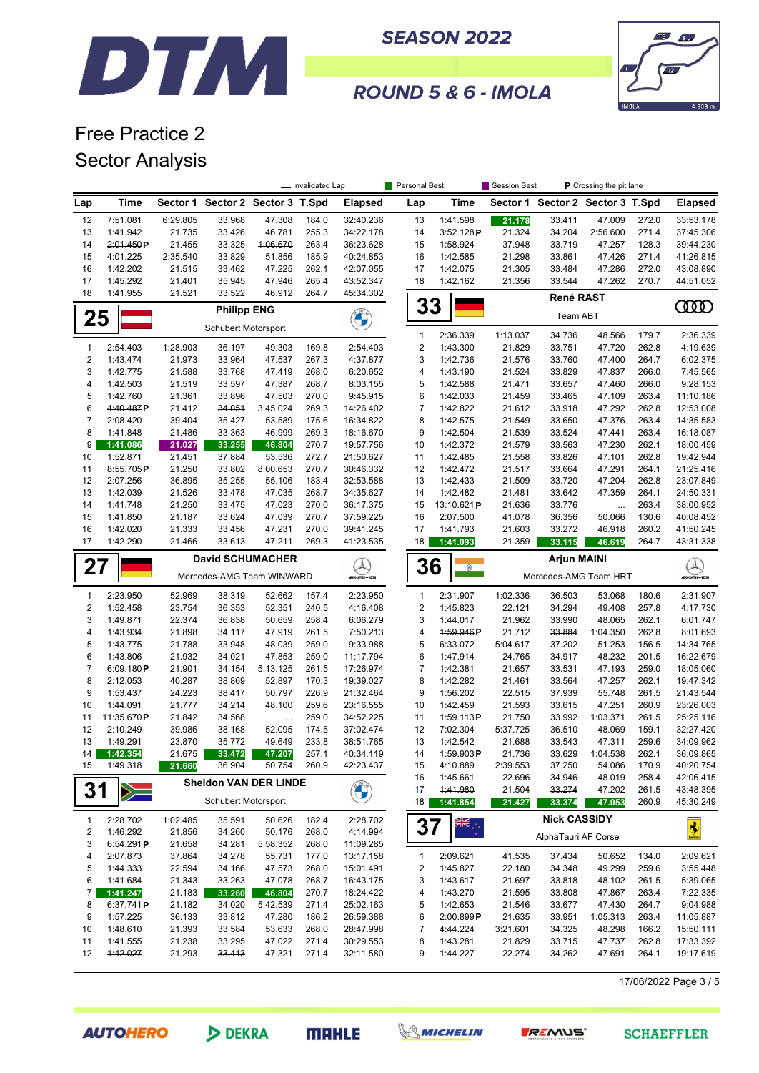



ROUND 5 & 6 - IMOLA

## Free Practice 2 Sector Analysis

|                     |                         |                  |                                  |                  | - Invalidated Lap |                                        | Personal Best         |                      | Session Best       |                                  | P Crossing the pit lane |                |                           |
|---------------------|-------------------------|------------------|----------------------------------|------------------|-------------------|----------------------------------------|-----------------------|----------------------|--------------------|----------------------------------|-------------------------|----------------|---------------------------|
| Lap                 | <b>Time</b>             |                  | Sector 1 Sector 2 Sector 3 T.Spd |                  |                   | <b>Elapsed</b>                         | Lap                   | <b>Time</b>          |                    | Sector 1 Sector 2 Sector 3 T.Spd |                         |                | <b>Elapsed</b>            |
| 12                  | 7:51.081                | 6:29.805         | 33.968                           | 47.308           | 184.0             | 32:40.236                              | 13                    | 1:41.598             | 21.178             | 33.411                           | 47.009                  | 272.0          | 33:53.178                 |
| 13                  | 1:41.942                | 21.735           | 33.426                           | 46.781           | 255.3             | 34:22.178                              | 14                    | 3:52.128P            | 21.324             | 34.204                           | 2:56.600                | 271.4          | 37:45.306                 |
| 14                  | 2:01.450P               | 21.455           | 33.325                           | 4:06.670         | 263.4             | 36:23.628                              | 15                    | 1:58.924             | 37.948             | 33.719                           | 47.257                  | 128.3          | 39:44.230                 |
| 15                  | 4:01.225                | 2:35.540         | 33.829                           | 51.856           | 185.9             | 40:24.853                              | 16                    | 1:42.585             | 21.298             | 33.861                           | 47.426                  | 271.4          | 41:26.815                 |
| 16<br>17            | 1:42.202<br>1:45.292    | 21.515<br>21.401 | 33.462<br>35.945                 | 47.225<br>47.946 | 262.1<br>265.4    | 42:07.055<br>43:52.347                 | 17<br>18              | 1:42.075<br>1:42.162 | 21.305<br>21.356   | 33.484<br>33.544                 | 47.286<br>47.262        | 272.0<br>270.7 | 43:08.890<br>44:51.052    |
| 18                  | 1:41.955                | 21.521           | 33.522                           | 46.912           | 264.7             | 45:34.302                              |                       |                      |                    |                                  |                         |                |                           |
|                     |                         |                  | <b>Philipp ENG</b>               |                  |                   |                                        | 33                    |                      |                    | René RAST                        |                         |                | ŒŒ                        |
| 25                  |                         |                  | <b>Schubert Motorsport</b>       |                  |                   |                                        |                       |                      |                    | Team ABT                         |                         |                |                           |
|                     |                         |                  |                                  |                  |                   |                                        | 1                     | 2:36.339             | 1:13.037           | 34.736                           | 48.566                  | 179.7          | 2:36.339                  |
| 1                   | 2:54.403                | 1:28.903         | 36.197                           | 49.303           | 169.8             | 2:54.403                               | $\mathbf 2$           | 1:43.300             | 21.829             | 33.751                           | 47.720                  | 262.8          | 4:19.639                  |
| $\overline{2}$<br>3 | 1:43.474<br>1:42.775    | 21.973<br>21.588 | 33.964<br>33.768                 | 47.537<br>47.419 | 267.3<br>268.0    | 4:37.877<br>6:20.652                   | 3<br>4                | 1:42.736<br>1:43.190 | 21.576<br>21.524   | 33.760<br>33.829                 | 47.400<br>47.837        | 264.7<br>266.0 | 6:02.375<br>7:45.565      |
| 4                   | 1:42.503                | 21.519           | 33.597                           | 47.387           | 268.7             | 8:03.155                               | 5                     | 1:42.588             | 21.471             | 33.657                           | 47.460                  | 266.0          | 9:28.153                  |
| 5                   | 1:42.760                | 21.361           | 33.896                           | 47.503           | 270.0             | 9:45.915                               | 6                     | 1:42.033             | 21.459             | 33.465                           | 47.109                  | 263.4          | 11:10.186                 |
| 6                   | 4:40.487P               | 21.412           | 34.051                           | 3:45.024         | 269.3             | 14:26.402                              | $\boldsymbol{7}$      | 1:42.822             | 21.612             | 33.918                           | 47.292                  | 262.8          | 12:53.008                 |
| 7                   | 2:08.420                | 39.404           | 35.427                           | 53.589           | 175.6             | 16:34.822                              | 8                     | 1:42.575             | 21.549             | 33.650                           | 47.376                  | 263.4          | 14:35.583                 |
| 8                   | 1:41.848                | 21.486           | 33.363                           | 46.999           | 269.3             | 18:16.670                              | 9                     | 1:42.504             | 21.539             | 33.524                           | 47.441                  | 263.4          | 16:18.087                 |
| 9                   | 1:41.086                | 21.027           | 33.255                           | 46.804           | 270.7             | 19:57.756                              | 10                    | 1:42.372             | 21.579             | 33.563                           | 47.230                  | 262.1          | 18:00.459                 |
| 10                  | 1:52.871                | 21.451           | 37.884                           | 53.536           | 272.7             | 21:50.627                              | 11                    | 1:42.485             | 21.558             | 33.826                           | 47.101                  | 262.8          | 19:42.944                 |
| 11                  | 8:55.705P               | 21.250           | 33.802                           | 8:00.653         | 270.7             | 30:46.332                              | 12                    | 1:42.472             | 21.517             | 33.664                           | 47.291                  | 264.1          | 21:25.416                 |
| 12                  | 2:07.256                | 36.895           | 35.255                           | 55.106           | 183.4             | 32:53.588                              | 13                    | 1:42.433             | 21.509             | 33.720                           | 47.204                  | 262.8          | 23:07.849                 |
| 13                  | 1:42.039                | 21.526           | 33.478                           | 47.035           | 268.7             | 34:35.627                              | 14                    | 1:42.482             | 21.481             | 33.642                           | 47.359                  | 264.1          | 24:50.331                 |
| 14                  | 1:41.748                | 21.250           | 33.475                           | 47.023           | 270.0             | 36:17.375                              | 15                    | 13:10.621P           | 21.636             | 33.776                           | $\ddotsc$               | 263.4          | 38:00.952                 |
| 15                  | 1:41.850                | 21.187           | 33.624                           | 47.039           | 270.7             | 37:59.225                              | 16                    | 2:07.500             | 41.078             | 36.356                           | 50.066                  | 130.6          | 40:08.452                 |
| 16                  | 1:42.020                | 21.333           | 33.456                           | 47.231           | 270.0             | 39:41.245                              | 17                    | 1:41.793             | 21.603             | 33.272                           | 46.918                  | 260.2          | 41:50.245                 |
| 17                  | 1:42.290                | 21.466           | 33.613                           | 47.211           | 269.3             | 41:23.535                              | 18                    | 1:41.093             | 21.359             | 33.115                           | 46.619                  | 264.7          | 43:31.338                 |
|                     | <b>David SCHUMACHER</b> |                  |                                  |                  |                   |                                        |                       |                      | <b>Arjun MAINI</b> |                                  |                         |                |                           |
| 27                  |                         |                  | Mercedes-AMG Team WINWARD        |                  |                   | $\bigotimes_{\mathbf{m}\in\mathbb{N}}$ | 36<br>$^{\circ}$      |                      |                    | Mercedes-AMG Team HRT            |                         |                | $\bigotimes_{\mathbb{Z}}$ |
| $\mathbf{1}$        | 2:23.950                | 52.969           | 38.319                           | 52.662           | 157.4             | 2:23.950                               | $\mathbf{1}$          | 2:31.907             | 1:02.336           | 36.503                           | 53.068                  | 180.6          | 2:31.907                  |
| $\overline{2}$      | 1:52.458                | 23.754           | 36.353                           | 52.351           | 240.5             | 4:16.408                               | $\mathbf 2$           | 1:45.823             | 22.121             | 34.294                           | 49.408                  | 257.8          | 4:17.730                  |
| 3                   | 1:49.871                | 22.374           | 36.838                           | 50.659           | 258.4             | 6:06.279                               | 3                     | 1:44.017             | 21.962             | 33.990                           | 48.065                  | 262.1          | 6:01.747                  |
| 4                   | 1:43.934                | 21.898           | 34.117                           | 47.919           | 261.5             | 7:50.213                               | 4                     | 1:59.946P            | 21.712             | 33.884                           | 1:04.350                | 262.8          | 8:01.693                  |
| 5                   | 1:43.775                | 21.788           | 33.948                           | 48.039           | 259.0             | 9:33.988                               | 5                     | 6:33.072             | 5:04.617           | 37.202                           | 51.253                  | 156.5          | 14:34.765                 |
| 6                   | 1:43.806                | 21.932           | 34.021                           | 47.853           | 259.0             | 11:17.794                              | 6                     | 1:47.914             | 24.765             | 34.917                           | 48.232                  | 201.5          | 16:22.679                 |
| $\overline{7}$      | 6:09.180P               | 21.901           | 34.154                           | 5:13.125         | 261.5             | 17:26.974                              | $\overline{7}$        | 1:42.381             | 21.657             | 33.531                           | 47.193                  | 259.0          | 18:05.060                 |
| 8                   | 2:12.053                | 40.287           | 38.869                           | 52.897           | 170.3             | 19:39.027                              | 8                     | 1:42.282             | 21.461             | 33.564                           | 47.257                  | 262.1          | 19:47.342                 |
| 9                   | 1:53.437                | 24.223           | 38.417                           | 50.797           | 226.9             | 21:32.464                              | 9                     | 1:56.202             | 22.515             | 37.939                           | 55.748                  | 261.5          | 21:43.544                 |
| 10                  | 1:44.091                | 21.777           | 34.214                           | 48.100           | 259.6             | 23:16.555                              | 10                    | 1:42.459             | 21.593             | 33.615                           | 47.251                  | 260.9          | 23:26.003                 |
| 11                  | 11:35.670P              | 21.842           | 34.568                           |                  | 259.0             | 34:52.225                              | 11                    | 1:59.113P            | 21.750             | 33.992                           | 1:03.371                | 261.5          | 25:25.116                 |
| 12                  | 2:10.249                | 39.986           | 38.168                           | 52.095           | 174.5             | 37:02.474                              | 12                    | 7:02.304             | 5:37.725           | 36.510                           | 48.069                  | 159.1          | 32:27.420                 |
| 13                  | 1:49.291                | 23.870           | 35.772                           | 49.649           | 233.8             | 38:51.765                              | 13                    | 1:42.542             | 21.688             | 33.543                           | 47.311                  | 259.6          | 34:09.962                 |
| 14                  | 1:42.354                | 21.675           | 33.472                           | 47.207           | 257.1             | 40:34.119                              | 14                    | 1:59.903P            | 21.736             |                                  | 33.629 1:04.538         | 262.1          | 36:09.865                 |
| 15                  | 1:49.318                | 21.660           | 36.904                           | 50.754           | 260.9             | 42:23.437                              | 15                    | 4:10.889             | 2:39.553           | 37.250                           | 54.086                  | 170.9          | 40:20.754                 |
|                     |                         |                  | <b>Sheldon VAN DER LINDE</b>     |                  |                   |                                        | 16                    | 1:45.661             | 22.696             | 34.946                           | 48.019                  | 258.4          | 42:06.415                 |
| 31                  | $\geq$                  |                  | Schubert Motorsport              |                  |                   | <b>CONTROL</b>                         | 17<br>18 <sup>1</sup> | 1:41.980<br>1:41.854 | 21.504<br>21.427   | 33.274<br>33.374                 | 47.202<br>47.053        | 261.5<br>260.9 | 43:48.395<br>45:30.249    |
|                     |                         |                  |                                  |                  |                   |                                        |                       |                      |                    |                                  |                         |                |                           |
| 1                   | 2:28.702                | 1:02.485         | 35.591                           | 50.626           | 182.4             | 2:28.702                               | 37                    | ≫k<br>≫k             |                    | <b>Nick CASSIDY</b>              |                         |                | $\frac{1}{2}$             |
| 2                   | 1:46.292                | 21.856           | 34.260                           | 50.176           | 268.0             | 4:14.994                               |                       |                      |                    | AlphaTauri AF Corse              |                         |                |                           |
| 3                   | 6:54.291P               | 21.658           | 34.281                           | 5:58.352         | 268.0             | 11:09.285                              |                       |                      |                    |                                  |                         |                |                           |
| 4                   | 2:07.873                | 37.864           | 34.278                           | 55.731           | 177.0             | 13:17.158                              | 1                     | 2:09.621             | 41.535             | 37.434                           | 50.652                  | 134.0          | 2:09.621                  |
| 5                   | 1:44.333                | 22.594           | 34.166                           | 47.573           | 268.0             | 15:01.491                              | 2                     | 1:45.827             | 22.180             | 34.348                           | 49.299                  | 259.6          | 3:55.448                  |
| 6                   | 1:41.684                | 21.343           | 33.263                           | 47.078           | 268.7             | 16:43.175                              | 3                     | 1:43.617             | 21.697             | 33.818                           | 48.102                  | 261.5          | 5:39.065                  |
| 7                   | 1:41.247                | 21.183           | 33.260                           | 46.804           | 270.7             | 18:24.422                              | 4                     | 1:43.270             | 21.595             | 33.808                           | 47.867                  | 263.4          | 7:22.335                  |
| 8                   | 6:37.741P               | 21.182           | 34.020                           | 5:42.539         | 271.4             | 25:02.163                              | 5                     | 1:42.653             | 21.546             | 33.677                           | 47.430                  | 264.7          | 9:04.988                  |
| 9                   | 1:57.225                | 36.133           | 33.812                           | 47.280           | 186.2             | 26:59.388                              | 6                     | 2:00.899P            | 21.635             | 33.951                           | 1:05.313                | 263.4          | 11:05.887                 |
| 10                  | 1:48.610                | 21.393           | 33.584                           | 53.633           | 268.0             | 28:47.998                              | 7                     | 4:44.224             | 3:21.601           | 34.325                           | 48.298                  | 166.2          | 15:50.111                 |
| 11<br>12            | 1:41.555<br>1:42.027    | 21.238<br>21.293 | 33.295<br>33.413                 | 47.022<br>47.321 | 271.4<br>271.4    | 30:29.553<br>32:11.580                 | 8<br>9                | 1:43.281<br>1:44.227 | 21.829<br>22.274   | 33.715<br>34.262                 | 47.737<br>47.691        | 262.8<br>264.1 | 17:33.392<br>19:17.619    |
|                     |                         |                  |                                  |                  |                   |                                        |                       |                      |                    |                                  |                         |                |                           |

17/06/2022 Page 3 / 5



DEKRA





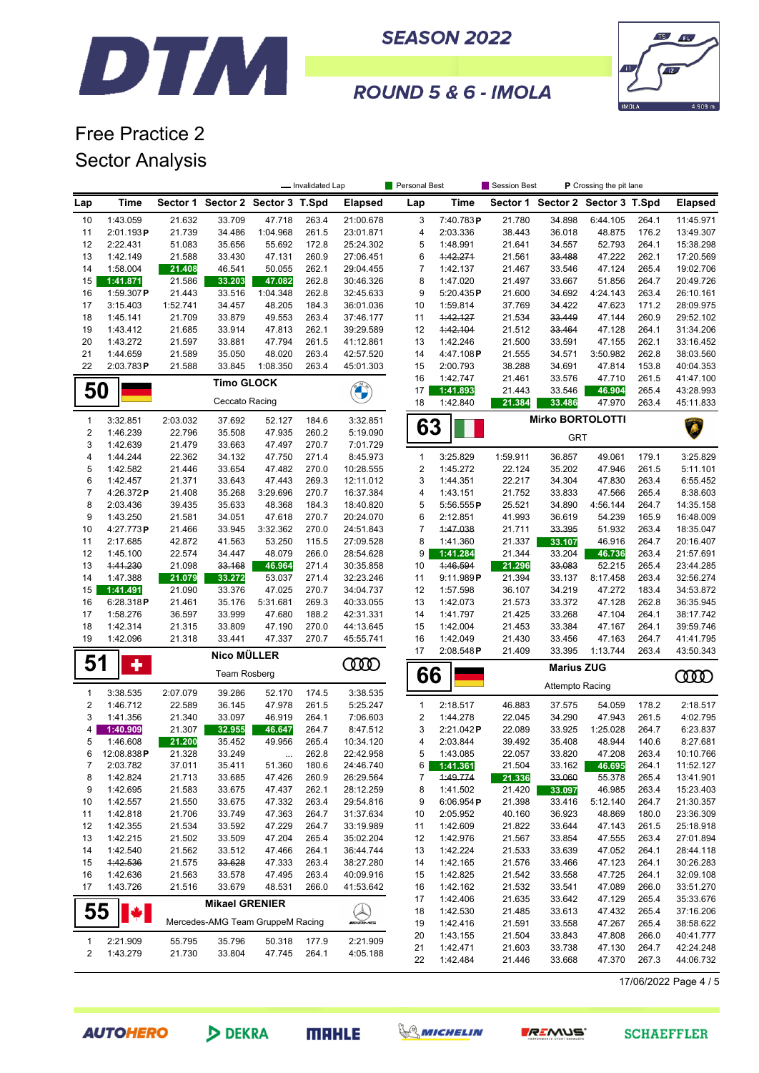



ROUND 5 & 6 - IMOLA

### Free Practice 2 Sector Analysis

|                         |                       |                  |                                  |                    | - Invalidated Lap |                        | Personal Best       |                      | <b>Session Best</b> |                                  | P Crossing the pit lane |                |                        |
|-------------------------|-----------------------|------------------|----------------------------------|--------------------|-------------------|------------------------|---------------------|----------------------|---------------------|----------------------------------|-------------------------|----------------|------------------------|
| Lap                     | Time                  |                  | Sector 1 Sector 2 Sector 3 T.Spd |                    |                   | <b>Elapsed</b>         | Lap                 | <b>Time</b>          |                     | Sector 1 Sector 2 Sector 3 T.Spd |                         |                | <b>Elapsed</b>         |
| 10                      | 1:43.059              | 21.632           | 33.709                           | 47.718             | 263.4             | 21:00.678              | 3                   | 7:40.783P            | 21.780              | 34.898                           | 6:44.105                | 264.1          | 11:45.971              |
| 11                      | 2:01.193P             | 21.739           | 34.486                           | 1:04.968           | 261.5             | 23:01.871              | 4                   | 2:03.336             | 38.443              | 36.018                           | 48.875                  | 176.2          | 13:49.307              |
| 12                      | 2:22.431              | 51.083           | 35.656                           | 55.692             | 172.8             | 25:24.302              | 5                   | 1:48.991             | 21.641              | 34.557                           | 52.793                  | 264.1          | 15:38.298              |
| 13                      | 1:42.149              | 21.588           | 33.430                           | 47.131             | 260.9             | 27:06.451              | 6                   | 1:42.271             | 21.561              | 33.488                           | 47.222                  | 262.1          | 17:20.569              |
| 14                      | 1:58.004              | 21.408           | 46.541                           | 50.055             | 262.1             | 29:04.455              | 7                   | 1:42.137             | 21.467              | 33.546                           | 47.124                  | 265.4          | 19:02.706              |
| 15                      | 1:41.871              | 21.586           | 33.203                           | 47.082             | 262.8             | 30:46.326              | 8                   | 1:47.020             | 21.497              | 33.667                           | 51.856                  | 264.7          | 20:49.726              |
| 16                      | 1:59.307P             | 21.443           | 33.516                           | 1:04.348           | 262.8             | 32:45.633              | 9                   | 5:20.435P            | 21.600              | 34.692                           | 4:24.143                | 263.4          | 26:10.161              |
| 17                      | 3:15.403              | 1:52.741         | 34.457                           | 48.205             | 184.3             | 36:01.036              | 10                  | 1:59.814             | 37.769              | 34.422                           | 47.623                  | 171.2          | 28:09.975              |
| 18                      | 1:45.141              | 21.709           | 33.879                           | 49.553             | 263.4             | 37:46.177              | 11                  | 1:42.127             | 21.534              | 33.449                           | 47.144                  | 260.9          | 29:52.102              |
| 19                      | 1:43.412              | 21.685           | 33.914                           | 47.813             | 262.1             | 39:29.589              | 12                  | 1:42.104             | 21.512              | 33.464                           | 47.128                  | 264.1          | 31:34.206              |
| 20                      | 1:43.272              | 21.597           | 33.881                           | 47.794             | 261.5             | 41:12.861              | 13                  | 1:42.246             | 21.500              | 33.591                           | 47.155                  | 262.1          | 33:16.452              |
| 21                      | 1:44.659              | 21.589           | 35.050                           | 48.020             | 263.4             | 42:57.520              | 14                  | 4:47.108P            | 21.555              | 34.571                           | 3:50.982                | 262.8          | 38:03.560              |
| 22                      | 2:03.783P             | 21.588           | 33.845                           | 1:08.350           | 263.4             | 45:01.303              | 15                  | 2:00.793             | 38.288              | 34.691                           | 47.814                  | 153.8          | 40:04.353              |
|                         |                       |                  | <b>Timo GLOCK</b>                |                    |                   |                        | 16                  | 1:42.747             | 21.461              | 33.576                           | 47.710                  | 261.5          | 41:47.100              |
| 50                      |                       |                  |                                  |                    |                   | <b>CALLES</b>          | 17                  | 1:41.893             | 21.443              | 33.546                           | 46.904                  | 265.4          | 43:28.993              |
|                         |                       |                  | Ceccato Racing                   |                    |                   |                        | 18                  | 1:42.840             | 21.384              | 33.486                           | 47.970                  | 263.4          | 45:11.833              |
| 1                       | 3:32.851              | 2:03.032         | 37.692                           | 52.127             | 184.6             | 3:32.851               | 63                  |                      |                     | <b>Mirko BORTOLOTTI</b>          |                         |                |                        |
| $\overline{\mathbf{c}}$ | 1:46.239              | 22.796           | 35.508                           | 47.935             | 260.2             | 5:19.090               |                     |                      |                     | <b>GRT</b>                       |                         |                |                        |
| 3                       | 1:42.639              | 21.479           | 33.663                           | 47.497             | 270.7             | 7:01.729               |                     |                      |                     |                                  |                         |                |                        |
| $\overline{\mathbf{4}}$ | 1:44.244              | 22.362           | 34.132                           | 47.750             | 271.4             | 8:45.973               | $\mathbf{1}$        | 3:25.829             | 1:59.911            | 36.857                           | 49.061                  | 179.1          | 3:25.829               |
| 5                       | 1:42.582              | 21.446           | 33.654                           | 47.482             | 270.0             | 10:28.555              | $\overline{2}$      | 1:45.272             | 22.124              | 35.202                           | 47.946                  | 261.5          | 5:11.101               |
| 6                       | 1:42.457              | 21.371           | 33.643                           | 47.443             | 269.3             | 12:11.012              | 3                   | 1:44.351             | 22.217              | 34.304                           | 47.830                  | 263.4          | 6:55.452               |
| $\overline{7}$          | 4:26.372P             | 21.408           | 35.268                           | 3:29.696           | 270.7             | 16:37.384              | 4                   | 1:43.151             | 21.752              | 33.833                           | 47.566                  | 265.4          | 8:38.603               |
| 8                       | 2:03.436              | 39.435           | 35.633                           | 48.368             | 184.3             | 18:40.820              | 5                   | 5:56.555P            | 25.521              | 34.890                           | 4:56.144                | 264.7          | 14:35.158              |
| 9<br>10                 | 1:43.250<br>4:27.773P | 21.581           | 34.051<br>33.945                 | 47.618             | 270.7<br>270.0    | 20:24.070<br>24:51.843 | 6<br>$\overline{7}$ | 2:12.851<br>1:47.038 | 41.993              | 36.619<br>33.395                 | 54.239<br>51.932        | 165.9<br>263.4 | 16:48.009              |
| 11                      | 2:17.685              | 21.466<br>42.872 | 41.563                           | 3:32.362<br>53.250 | 115.5             | 27:09.528              | 8                   | 1:41.360             | 21.711<br>21.337    | 33.107                           | 46.916                  | 264.7          | 18:35.047<br>20:16.407 |
| 12                      | 1:45.100              | 22.574           | 34.447                           | 48.079             | 266.0             | 28:54.628              | 9                   | 1:41.284             | 21.344              | 33.204                           | 46.736                  | 263.4          | 21:57.691              |
| 13                      | 4:41.230              | 21.098           | 33.168                           | 46.964             | 271.4             | 30:35.858              | 10                  | 4:46.594             | 21.296              | 33.083                           | 52.215                  | 265.4          | 23:44.285              |
| 14                      | 1:47.388              | 21.079           | 33.272                           | 53.037             | 271.4             | 32:23.246              | 11                  | 9:11.989P            | 21.394              | 33.137                           | 8:17.458                | 263.4          | 32:56.274              |
| 15                      | 1:41.491              | 21.090           | 33.376                           | 47.025             | 270.7             | 34:04.737              | 12                  | 1:57.598             | 36.107              | 34.219                           | 47.272                  | 183.4          | 34:53.872              |
| 16                      | 6:28.318P             | 21.461           | 35.176                           | 5:31.681           | 269.3             | 40:33.055              | 13                  | 1:42.073             | 21.573              | 33.372                           | 47.128                  | 262.8          | 36:35.945              |
| 17                      | 1:58.276              | 36.597           | 33.999                           | 47.680             | 188.2             | 42:31.331              | 14                  | 1:41.797             | 21.425              | 33.268                           | 47.104                  | 264.1          | 38:17.742              |
| 18                      | 1:42.314              | 21.315           | 33.809                           | 47.190             | 270.0             | 44:13.645              | 15                  | 1:42.004             | 21.453              | 33.384                           | 47.167                  | 264.1          | 39:59.746              |
| 19                      | 1:42.096              | 21.318           | 33.441                           | 47.337             | 270.7             | 45:55.741              | 16                  | 1:42.049             | 21.430              | 33.456                           | 47.163                  | 264.7          | 41:41.795              |
|                         |                       |                  | Nico MÜLLER                      |                    |                   |                        | 17                  | 2:08.548P            | 21.409              | 33.395                           | 1:13.744                | 263.4          | 43:50.343              |
| 51                      | ٠                     |                  | Team Rosberg                     |                    |                   | <b>COOD</b>            |                     |                      |                     |                                  |                         |                |                        |
|                         |                       |                  |                                  |                    |                   |                        | 66                  |                      | Attempto Racing     |                                  |                         |                | ഝ                      |
| $\mathbf{1}$            | 3:38.535              | 2:07.079         | 39.286                           | 52.170             | 174.5             | 3:38.535               |                     |                      |                     |                                  |                         |                |                        |
| $\overline{2}$          | 1:46.712              | 22.589           | 36.145                           | 47.978             | 261.5             | 5:25.247               | $\mathbf{1}$        | 2:18.517             | 46.883              | 37.575                           | 54.059                  | 178.2          | 2:18.517               |
| 3                       | 1:41.356              | 21.340           | 33.097                           | 46.919             | 264.1             | 7:06.603               | 2                   | 1:44.278             | 22.045              | 34.290                           | 47.943                  | 261.5          | 4:02.795               |
| 4                       | 1:40.909              | 21.307           | 32.955                           | 46.647             | 264.7             | 8:47.512               | 3                   | 2:21.042P            | 22.089              | 33.925                           | 1:25.028                | 264.7          | 6:23.837               |
| 5                       | 1:46.608              | 21.200           | 35.452                           | 49.956             | 265.4             | 10:34.120<br>22:42.958 | 4<br>5              | 2:03.844             | 39.492              | 35.408<br>33.820                 | 48.944<br>47.208        | 140.6          | 8:27.681               |
| 6<br>7                  | 12:08.838P            | 21.328           | 33.249                           |                    | 262.8             |                        |                     | 1:43.085             | 22.057<br>21.504    |                                  | 46.695                  | 263.4          | 10:10.766<br>11:52.127 |
| 8                       | 2:03.782<br>1:42.824  | 37.011<br>21.713 | 35.411<br>33.685                 | 51.360<br>47.426   | 180.6<br>260.9    | 24:46.740<br>26:29.564 | $6 \mid$<br>7       | 1:41.361<br>1:49.774 | 21.336              | 33.162<br>33.060                 | 55.378                  | 264.1<br>265.4 | 13:41.901              |
| 9                       | 1:42.695              | 21.583           | 33.675                           | 47.437             | 262.1             | 28:12.259              | 8                   | 1:41.502             | 21.420              | 33.097                           | 46.985                  | 263.4          | 15:23.403              |
| 10                      | 1:42.557              | 21.550           | 33.675                           | 47.332             | 263.4             | 29:54.816              | 9                   | 6:06.954P            | 21.398              | 33.416                           | 5:12.140                | 264.7          | 21:30.357              |
| 11                      | 1:42.818              | 21.706           | 33.749                           | 47.363             | 264.7             | 31:37.634              | 10                  | 2:05.952             | 40.160              | 36.923                           | 48.869                  | 180.0          | 23:36.309              |
| 12                      | 1:42.355              | 21.534           | 33.592                           | 47.229             | 264.7             | 33:19.989              | 11                  | 1:42.609             | 21.822              | 33.644                           | 47.143                  | 261.5          | 25:18.918              |
| 13                      | 1:42.215              | 21.502           | 33.509                           | 47.204             | 265.4             | 35:02.204              | 12                  | 1:42.976             | 21.567              | 33.854                           | 47.555                  | 263.4          | 27:01.894              |
| 14                      | 1:42.540              | 21.562           | 33.512                           | 47.466             | 264.1             | 36:44.744              | 13                  | 1:42.224             | 21.533              | 33.639                           | 47.052                  | 264.1          | 28:44.118              |
| 15                      | 4:42.536              | 21.575           | 33.628                           | 47.333             | 263.4             | 38:27.280              | 14                  | 1:42.165             | 21.576              | 33.466                           | 47.123                  | 264.1          | 30:26.283              |
| 16                      | 1:42.636              | 21.563           | 33.578                           | 47.495             | 263.4             | 40:09.916              | 15                  | 1:42.825             | 21.542              | 33.558                           | 47.725                  | 264.1          | 32:09.108              |
| 17                      | 1:43.726              | 21.516           | 33.679                           | 48.531             | 266.0             | 41:53.642              | 16                  | 1:42.162             | 21.532              | 33.541                           | 47.089                  | 266.0          | 33:51.270              |
|                         |                       |                  | <b>Mikael GRENIER</b>            |                    |                   |                        | 17                  | 1:42.406             | 21.635              | 33.642                           | 47.129                  | 265.4          | 35:33.676              |
| 55                      |                       |                  |                                  |                    |                   | Q<br>amana             | 18                  | 1:42.530             | 21.485              | 33.613                           | 47.432                  | 265.4          | 37:16.206              |
|                         |                       |                  | Mercedes-AMG Team GruppeM Racing |                    |                   |                        | 19                  | 1:42.416             | 21.591              | 33.558                           | 47.267                  | 265.4          | 38:58.622              |
| 1                       | 2:21.909              | 55.795           | 35.796                           | 50.318             | 177.9             | 2:21.909               | 20                  | 1:43.155             | 21.504              | 33.843                           | 47.808                  | 266.0          | 40:41.777              |
| 2                       | 1:43.279              | 21.730           | 33.804                           | 47.745             | 264.1             | 4:05.188               | 21                  | 1:42.471             | 21.603              | 33.738                           | 47.130                  | 264.7          | 42:24.248              |
|                         |                       |                  |                                  |                    |                   |                        | 22                  | 1:42.484             | 21.446              | 33.668                           | 47.370                  | 267.3          | 44:06.732              |

17/06/2022 Page 4 / 5

**AUTOHERO**